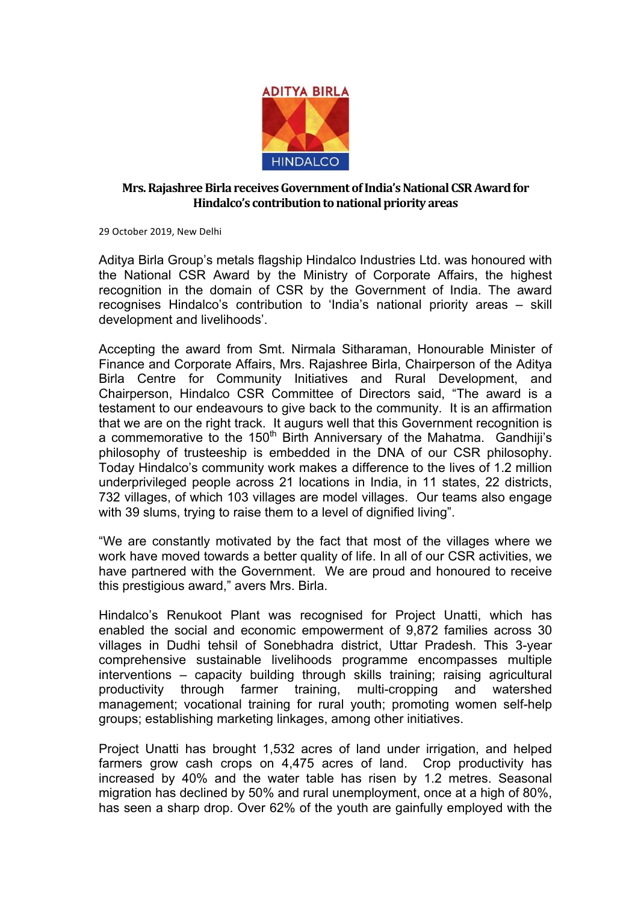

## **Mrs. Rajashree Birla receives Government of India's National CSR Award for Hindalco's contribution to national priority areas**

29 October 2019, New Delhi

Aditya Birla Group's metals flagship Hindalco Industries Ltd. was honoured with the National CSR Award by the Ministry of Corporate Affairs, the highest recognition in the domain of CSR by the Government of India. The award recognises Hindalco's contribution to 'India's national priority areas – skill development and livelihoods'.

Accepting the award from Smt. Nirmala Sitharaman, Honourable Minister of Finance and Corporate Affairs, Mrs. Rajashree Birla, Chairperson of the Aditya Birla Centre for Community Initiatives and Rural Development, and Chairperson, Hindalco CSR Committee of Directors said, "The award is a testament to our endeavours to give back to the community. It is an affirmation that we are on the right track. It augurs well that this Government recognition is a commemorative to the  $150<sup>th</sup>$  Birth Anniversary of the Mahatma. Gandhiji's philosophy of trusteeship is embedded in the DNA of our CSR philosophy. Today Hindalco's community work makes a difference to the lives of 1.2 million underprivileged people across 21 locations in India, in 11 states, 22 districts, 732 villages, of which 103 villages are model villages. Our teams also engage with 39 slums, trying to raise them to a level of dignified living".

"We are constantly motivated by the fact that most of the villages where we work have moved towards a better quality of life. In all of our CSR activities, we have partnered with the Government. We are proud and honoured to receive this prestigious award," avers Mrs. Birla.

Hindalco's Renukoot Plant was recognised for Project Unatti, which has enabled the social and economic empowerment of 9,872 families across 30 villages in Dudhi tehsil of Sonebhadra district, Uttar Pradesh. This 3-year comprehensive sustainable livelihoods programme encompasses multiple interventions – capacity building through skills training; raising agricultural productivity through farmer training, multi-cropping and watershed management; vocational training for rural youth; promoting women self-help groups; establishing marketing linkages, among other initiatives.

Project Unatti has brought 1,532 acres of land under irrigation, and helped farmers grow cash crops on 4,475 acres of land. Crop productivity has increased by 40% and the water table has risen by 1.2 metres. Seasonal migration has declined by 50% and rural unemployment, once at a high of 80%, has seen a sharp drop. Over 62% of the youth are gainfully employed with the